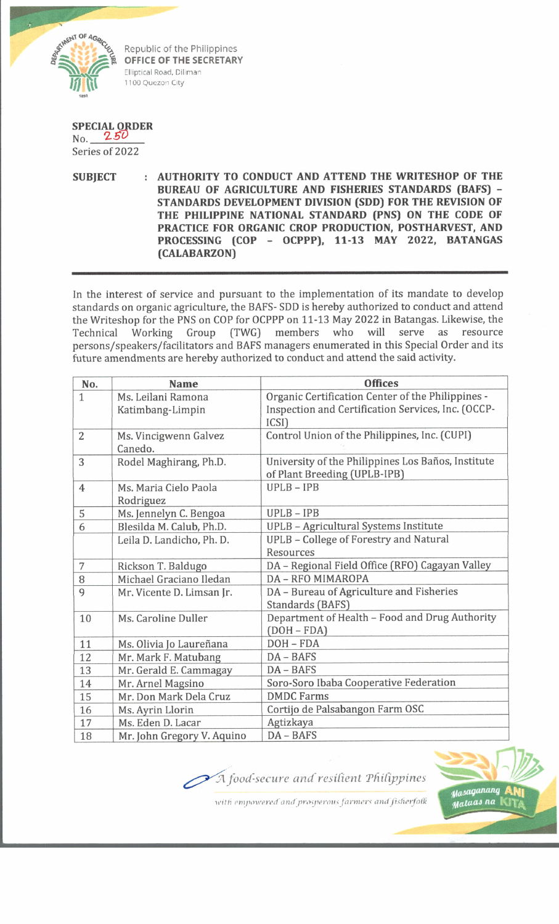

Republic of the Philippines **OFFICE OF THE SECRETARY** Elliptical Road, Diliman 1100 Quezon City

**SPECIAL ORDER** No. *2.50*

Series of 2022

**SUBJECT : AUTHORITY TO CONDUCT AND ATTEND THE WRITESHOP OF THE BUREAU OF AGRICULTURE AND FISHERIES STANDARDS (BAFS) - STANDARDS DEVELOPMENT DIVISION (SDD) FOR THE REVISION OF THE PHILIPPINE NATIONAL STANDARD (PNS) ON THE CODE OF PRACTICE FOR ORGANIC CROP PRODUCTION, POSTHARVEST, AND PROCESSING (COP - OCPPP), 11-13 MAY 2022, BATANGAS (CALABARZON)**

In the interest of service and pursuant to the implementation of its mandate to develop standards on organic agriculture, the BAFS- SDD is hereby authorized to conduct and attend the Writeshop for the PNS on COP for OCPPP on 11-13 May 2022 in Batangas. Likewise, the Technical Working Group (TWG) members who will serve as resource persons/speakers/facilitators and BAFS managers enumerated in this Special Order and its future amendments are hereby authorized to conduct and attend the said activity.

| No.            | <b>Name</b>                | <b>Offices</b>                                     |
|----------------|----------------------------|----------------------------------------------------|
| $\mathbf{1}$   | Ms. Leilani Ramona         | Organic Certification Center of the Philippines -  |
|                | Katimbang-Limpin           | Inspection and Certification Services, Inc. (OCCP- |
|                |                            | ICSI)                                              |
| $\overline{2}$ | Ms. Vincigwenn Galvez      | Control Union of the Philippines, Inc. (CUPI)      |
|                | Canedo.                    |                                                    |
| 3              | Rodel Maghirang, Ph.D.     | University of the Philippines Los Baños, Institute |
|                |                            | of Plant Breeding (UPLB-IPB)                       |
| $\overline{4}$ | Ms. Maria Cielo Paola      | $UPLB - IPB$                                       |
|                | Rodriguez                  |                                                    |
| 5              | Ms. Jennelyn C. Bengoa     | $UPLB - IPB$                                       |
| 6              | Blesilda M. Calub, Ph.D.   | UPLB - Agricultural Systems Institute              |
|                | Leila D. Landicho, Ph. D.  | UPLB - College of Forestry and Natural             |
|                |                            | Resources                                          |
| 7              | Rickson T. Baldugo         | DA - Regional Field Office (RFO) Cagayan Valley    |
| 8              | Michael Graciano Iledan    | <b>DA - RFO MIMAROPA</b>                           |
| 9              | Mr. Vicente D. Limsan Jr.  | DA - Bureau of Agriculture and Fisheries           |
|                |                            | Standards (BAFS)                                   |
| 10             | Ms. Caroline Duller        | Department of Health - Food and Drug Authority     |
|                |                            | $(DOH - FDA)$                                      |
| 11             | Ms. Olivia Jo Laureñana    | $DOH - FDA$                                        |
| 12             | Mr. Mark F. Matubang       | $DA - BAFS$                                        |
| 13             | Mr. Gerald E. Cammagay     | $DA - BAFS$                                        |
| 14             | Mr. Arnel Magsino          | Soro-Soro Ibaba Cooperative Federation             |
| 15             | Mr. Don Mark Dela Cruz     | <b>DMDC Farms</b>                                  |
| 16             | Ms. Ayrin Llorin           | Cortijo de Palsabangon Farm OSC                    |
| 17             | Ms. Eden D. Lacar          | Agtizkaya                                          |
| 18             | Mr. John Gregory V. Aquino | DA - BAFS                                          |

A food-secure and resilient Philippines



with empowered and prosperous farmers and fisherfolk